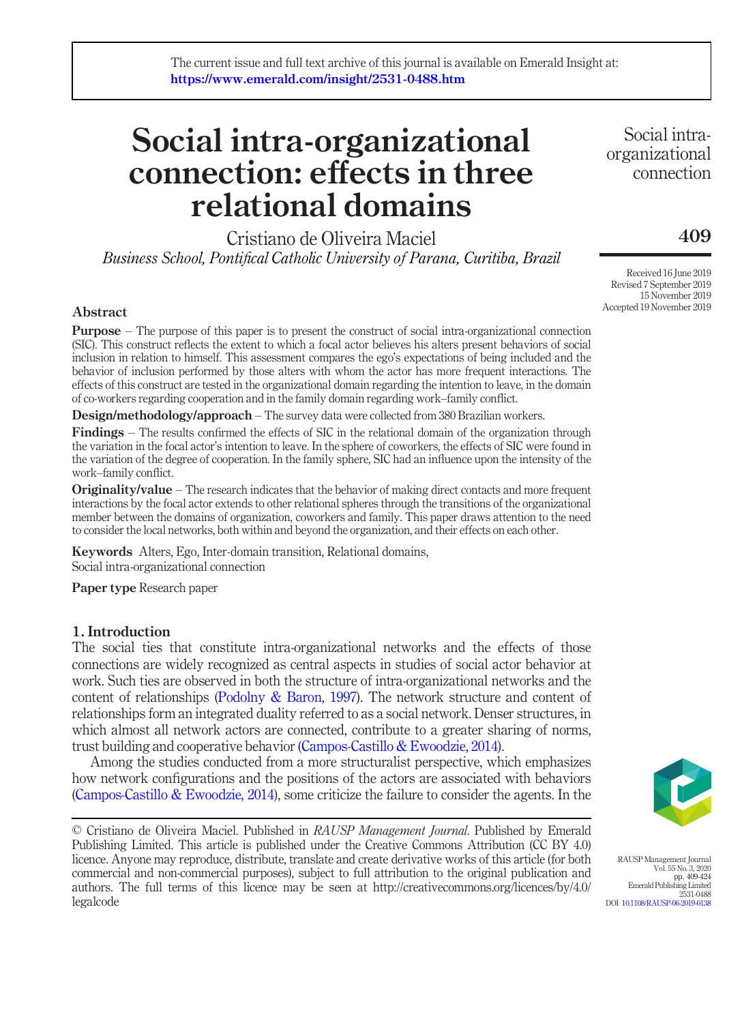# Social intra-organizational connection: effects in three relational domains

Cristiano de Oliveira Maciel Business School, Pontifical Catholic University of Parana, Curitiba, Brazil

# Abstract

**Purpose** – The purpose of this paper is to present the construct of social intra-organizational connection (SIC). This construct reflects the extent to which a focal actor believes his alters present behaviors of social inclusion in relation to himself. This assessment compares the ego's expectations of being included and the behavior of inclusion performed by those alters with whom the actor has more frequent interactions. The effects of this construct are tested in the organizational domain regarding the intention to leave, in the domain of co-workers regarding cooperation and in the family domain regarding work–family conflict.

Design/methodology/approach – The survey data were collected from 380 Brazilian workers.

Findings – The results confirmed the effects of SIC in the relational domain of the organization through the variation in the focal actor's intention to leave. In the sphere of coworkers, the effects of SIC were found in the variation of the degree of cooperation. In the family sphere, SIC had an influence upon the intensity of the work–family conflict.

**Originality/value** – The research indicates that the behavior of making direct contacts and more frequent interactions by the focal actor extends to other relational spheres through the transitions of the organizational member between the domains of organization, coworkers and family. This paper draws attention to the need to consider the local networks, both within and beyond the organization, and their effects on each other.

Keywords Alters, Ego, Inter-domain transition, Relational domains, Social intra-organizational connection

Paper type Research paper

# 1. Introduction

The social ties that constitute intra-organizational networks and the effects of those connections are widely recognized as central aspects in studies of social actor behavior at work. Such ties are observed in both the structure of intra-organizational networks and the content of relationships [\(Podolny & Baron, 1997](#page-14-0)). The network structure and content of relationships form an integrated duality referred to as a social network. Denser structures, in which almost all network actors are connected, contribute to a greater sharing of norms, trust building and cooperative behavior ([Campos-Castillo & Ewoodzie, 2014](#page-13-0)).

Among the studies conducted from a more structuralist perspective, which emphasizes how network configurations and the positions of the actors are associated with behaviors [\(Campos-Castillo & Ewoodzie, 2014](#page-13-0)), some criticize the failure to consider the agents. In the

© Cristiano de Oliveira Maciel. Published in RAUSP Management Journal. Published by Emerald Publishing Limited. This article is published under the Creative Commons Attribution (CC BY 4.0) licence. Anyone may reproduce, distribute, translate and create derivative works of this article (for both commercial and non-commercial purposes), subject to full attribution to the original publication and authors. The full terms of this licence may be seen at http://creativecommons.org/licences/by/4.0/ legalcode

Social intraorganizational connection

# 409

Received 16 June 2019 Revised 7 September 2019 15 November 2019 Accepted 19 November 2019



RAUSP Management Journal Vol. 55 No. 3, 2020 pp. 409-424 Emerald Publishing Limited 2531-0488 DOI [10.1108/RAUSP-06-2019-0138](http://dx.doi.org/10.1108/RAUSP-06-2019-0138)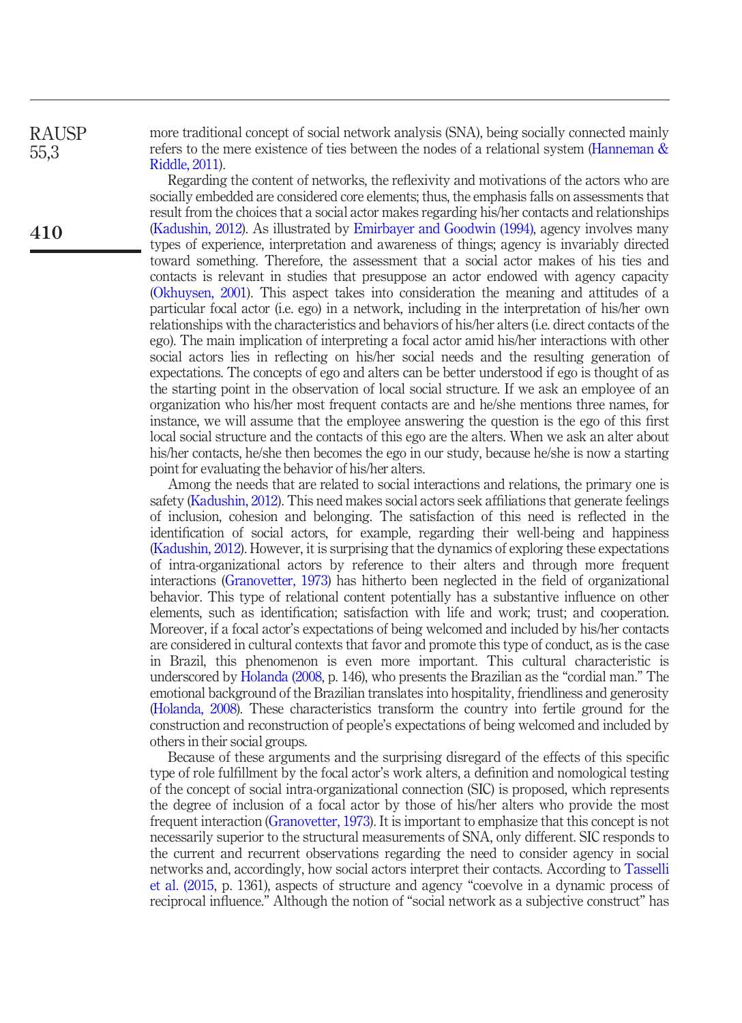more traditional concept of social network analysis (SNA), being socially connected mainly refers to the mere existence of ties between the nodes of a relational system ([Hanneman &](#page-13-1) [Riddle, 2011\)](#page-13-1).

Regarding the content of networks, the reflexivity and motivations of the actors who are socially embedded are considered core elements; thus, the emphasis falls on assessments that result from the choices that a social actor makes regarding his/her contacts and relationships [\(Kadushin, 2012\)](#page-13-2). As illustrated by [Emirbayer and Goodwin \(1994\),](#page-13-3) agency involves many types of experience, interpretation and awareness of things; agency is invariably directed toward something. Therefore, the assessment that a social actor makes of his ties and contacts is relevant in studies that presuppose an actor endowed with agency capacity [\(Okhuysen, 2001](#page-14-1)). This aspect takes into consideration the meaning and attitudes of a particular focal actor (i.e. ego) in a network, including in the interpretation of his/her own relationships with the characteristics and behaviors of his/her alters (i.e. direct contacts of the ego). The main implication of interpreting a focal actor amid his/her interactions with other social actors lies in reflecting on his/her social needs and the resulting generation of expectations. The concepts of ego and alters can be better understood if ego is thought of as the starting point in the observation of local social structure. If we ask an employee of an organization who his/her most frequent contacts are and he/she mentions three names, for instance, we will assume that the employee answering the question is the ego of this first local social structure and the contacts of this ego are the alters. When we ask an alter about his/her contacts, he/she then becomes the ego in our study, because he/she is now a starting point for evaluating the behavior of his/her alters.

Among the needs that are related to social interactions and relations, the primary one is safety [\(Kadushin, 2012\)](#page-13-2). This need makes social actors seek affiliations that generate feelings of inclusion, cohesion and belonging. The satisfaction of this need is reflected in the identification of social actors, for example, regarding their well-being and happiness [\(Kadushin, 2012\)](#page-13-2). However, it is surprising that the dynamics of exploring these expectations of intra-organizational actors by reference to their alters and through more frequent interactions ([Granovetter, 1973\)](#page-13-4) has hitherto been neglected in the field of organizational behavior. This type of relational content potentially has a substantive influence on other elements, such as identification; satisfaction with life and work; trust; and cooperation. Moreover, if a focal actor's expectations of being welcomed and included by his/her contacts are considered in cultural contexts that favor and promote this type of conduct, as is the case in Brazil, this phenomenon is even more important. This cultural characteristic is underscored by [Holanda \(2008,](#page-13-5) p. 146), who presents the Brazilian as the "cordial man." The emotional background of the Brazilian translates into hospitality, friendliness and generosity [\(Holanda, 2008](#page-13-5)). These characteristics transform the country into fertile ground for the construction and reconstruction of people's expectations of being welcomed and included by others in their social groups.

Because of these arguments and the surprising disregard of the effects of this specific type of role fulfillment by the focal actor's work alters, a definition and nomological testing of the concept of social intra-organizational connection (SIC) is proposed, which represents the degree of inclusion of a focal actor by those of his/her alters who provide the most frequent interaction ([Granovetter, 1973\)](#page-13-4). It is important to emphasize that this concept is not necessarily superior to the structural measurements of SNA, only different. SIC responds to the current and recurrent observations regarding the need to consider agency in social networks and, accordingly, how social actors interpret their contacts. According to [Tasselli](#page-14-2) [et al. \(2015](#page-14-2), p. 1361), aspects of structure and agency "coevolve in a dynamic process of reciprocal influence." Although the notion of "social network as a subjective construct" has

410

RAUSP 55,3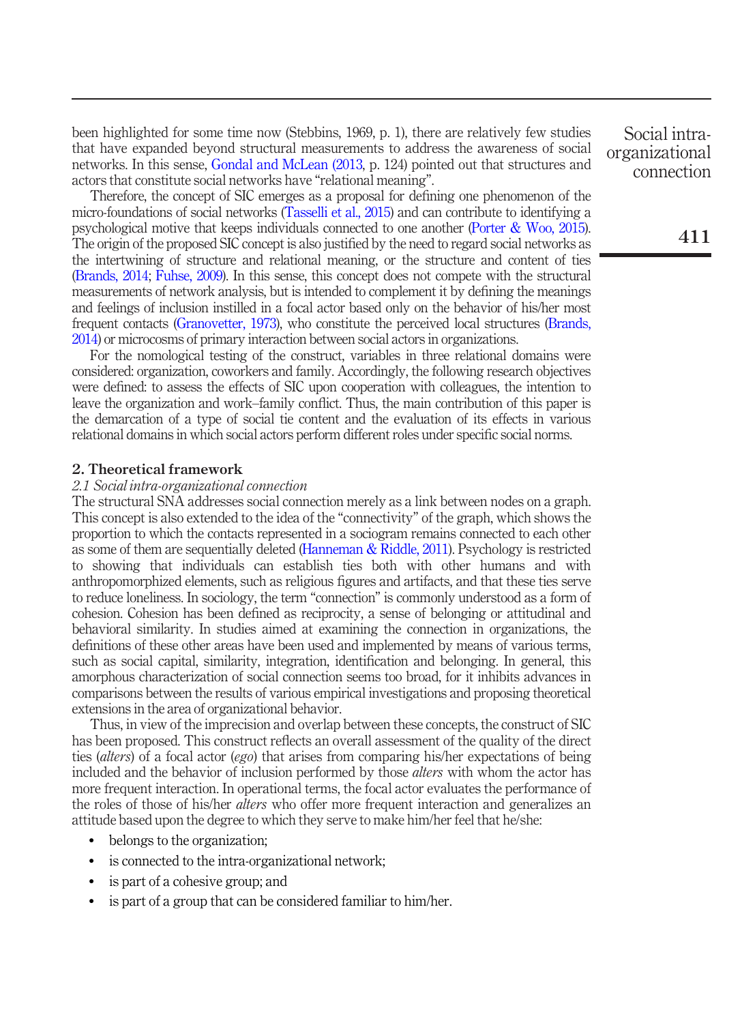been highlighted for some time now (Stebbins, 1969, p. 1), there are relatively few studies that have expanded beyond structural measurements to address the awareness of social networks. In this sense, [Gondal and McLean \(2013](#page-13-6), p. 124) pointed out that structures and actors that constitute social networks have "relational meaning".

Therefore, the concept of SIC emerges as a proposal for defining one phenomenon of the micro-foundations of social networks [\(Tasselli et al., 2015\)](#page-14-2) and can contribute to identifying a psychological motive that keeps individuals connected to one another ([Porter & Woo, 2015\)](#page-14-3). The origin of the proposed SIC concept is also justified by the need to regard social networks as the intertwining of structure and relational meaning, or the structure and content of ties [\(Brands, 2014;](#page-13-7) [Fuhse, 2009\)](#page-13-8). In this sense, this concept does not compete with the structural measurements of network analysis, but is intended to complement it by defining the meanings and feelings of inclusion instilled in a focal actor based only on the behavior of his/her most frequent contacts ([Granovetter, 1973\)](#page-13-4), who constitute the perceived local structures ([Brands,](#page-13-7) [2014\)](#page-13-7) or microcosms of primary interaction between social actors in organizations.

For the nomological testing of the construct, variables in three relational domains were considered: organization, coworkers and family. Accordingly, the following research objectives were defined: to assess the effects of SIC upon cooperation with colleagues, the intention to leave the organization and work–family conflict. Thus, the main contribution of this paper is the demarcation of a type of social tie content and the evaluation of its effects in various relational domains in which social actors perform different roles under specific social norms.

#### 2. Theoretical framework

#### 2.1 Social intra-organizational connection

The structural SNA addresses social connection merely as a link between nodes on a graph. This concept is also extended to the idea of the "connectivity" of the graph, which shows the proportion to which the contacts represented in a sociogram remains connected to each other as some of them are sequentially deleted (Hanneman  $&$  Riddle, 2011). Psychology is restricted to showing that individuals can establish ties both with other humans and with anthropomorphized elements, such as religious figures and artifacts, and that these ties serve to reduce loneliness. In sociology, the term "connection" is commonly understood as a form of cohesion. Cohesion has been defined as reciprocity, a sense of belonging or attitudinal and behavioral similarity. In studies aimed at examining the connection in organizations, the definitions of these other areas have been used and implemented by means of various terms, such as social capital, similarity, integration, identification and belonging. In general, this amorphous characterization of social connection seems too broad, for it inhibits advances in comparisons between the results of various empirical investigations and proposing theoretical extensions in the area of organizational behavior.

Thus, in view of the imprecision and overlap between these concepts, the construct of SIC has been proposed. This construct reflects an overall assessment of the quality of the direct ties (alters) of a focal actor (ego) that arises from comparing his/her expectations of being included and the behavior of inclusion performed by those *alters* with whom the actor has more frequent interaction. In operational terms, the focal actor evaluates the performance of the roles of those of his/her *alters* who offer more frequent interaction and generalizes an attitude based upon the degree to which they serve to make him/her feel that he/she:

- belongs to the organization;
- is connected to the intra-organizational network;
- is part of a cohesive group; and
- is part of a group that can be considered familiar to him/her.

Social intraorganizational connection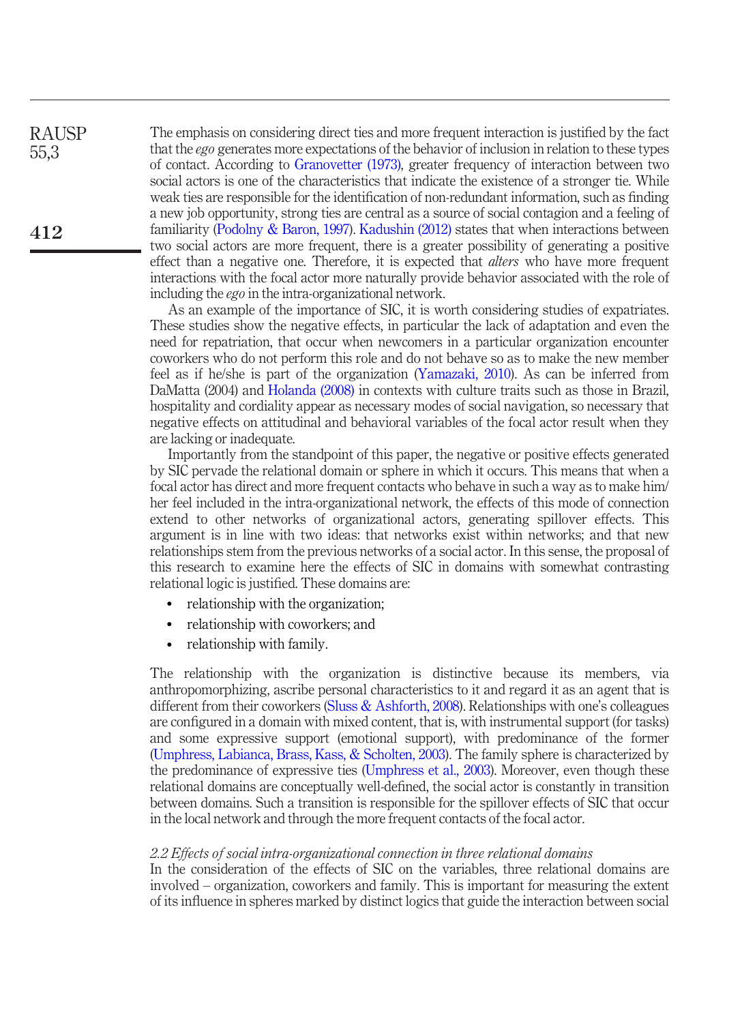The emphasis on considering direct ties and more frequent interaction is justified by the fact that the ego generates more expectations of the behavior of inclusion in relation to these types of contact. According to [Granovetter \(1973\),](#page-13-4) greater frequency of interaction between two social actors is one of the characteristics that indicate the existence of a stronger tie. While weak ties are responsible for the identification of non-redundant information, such as finding a new job opportunity, strong ties are central as a source of social contagion and a feeling of familiarity [\(Podolny & Baron, 1997](#page-14-0)). [Kadushin \(2012\)](#page-13-2) states that when interactions between two social actors are more frequent, there is a greater possibility of generating a positive effect than a negative one. Therefore, it is expected that *alters* who have more frequent interactions with the focal actor more naturally provide behavior associated with the role of including the ego in the intra-organizational network. RAUSP 55,3 412

> As an example of the importance of SIC, it is worth considering studies of expatriates. These studies show the negative effects, in particular the lack of adaptation and even the need for repatriation, that occur when newcomers in a particular organization encounter coworkers who do not perform this role and do not behave so as to make the new member feel as if he/she is part of the organization ([Yamazaki, 2010\)](#page-15-0). As can be inferred from DaMatta (2004) and [Holanda \(2008\)](#page-13-5) in contexts with culture traits such as those in Brazil, hospitality and cordiality appear as necessary modes of social navigation, so necessary that negative effects on attitudinal and behavioral variables of the focal actor result when they are lacking or inadequate.

> Importantly from the standpoint of this paper, the negative or positive effects generated by SIC pervade the relational domain or sphere in which it occurs. This means that when a focal actor has direct and more frequent contacts who behave in such a way as to make him/ her feel included in the intra-organizational network, the effects of this mode of connection extend to other networks of organizational actors, generating spillover effects. This argument is in line with two ideas: that networks exist within networks; and that new relationships stem from the previous networks of a social actor. In this sense, the proposal of this research to examine here the effects of SIC in domains with somewhat contrasting relational logic is justified. These domains are:

- relationship with the organization;
- relationship with coworkers; and
- relationship with family.

The relationship with the organization is distinctive because its members, via anthropomorphizing, ascribe personal characteristics to it and regard it as an agent that is different from their coworkers ([Sluss & Ashforth, 2008](#page-14-4)). Relationships with one's colleagues are configured in a domain with mixed content, that is, with instrumental support (for tasks) and some expressive support (emotional support), with predominance of the former [\(Umphress, Labianca, Brass, Kass, & Scholten, 2003](#page-14-5)). The family sphere is characterized by the predominance of expressive ties [\(Umphress et al., 2003](#page-14-5)). Moreover, even though these relational domains are conceptually well-defined, the social actor is constantly in transition between domains. Such a transition is responsible for the spillover effects of SIC that occur in the local network and through the more frequent contacts of the focal actor.

#### 2.2 Effects of social intra-organizational connection in three relational domains

In the consideration of the effects of SIC on the variables, three relational domains are involved – organization, coworkers and family. This is important for measuring the extent of its influence in spheres marked by distinct logics that guide the interaction between social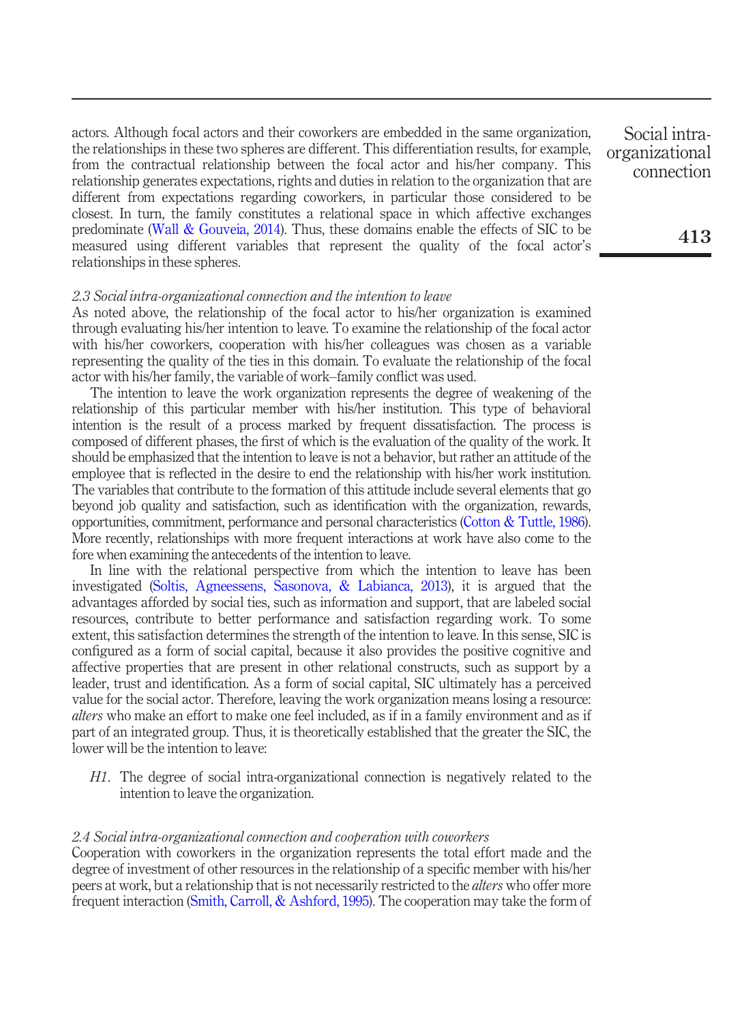actors. Although focal actors and their coworkers are embedded in the same organization, the relationships in these two spheres are different. This differentiation results, for example, from the contractual relationship between the focal actor and his/her company. This relationship generates expectations, rights and duties in relation to the organization that are different from expectations regarding coworkers, in particular those considered to be closest. In turn, the family constitutes a relational space in which affective exchanges predominate ([Wall & Gouveia, 2014\)](#page-15-1). Thus, these domains enable the effects of SIC to be measured using different variables that represent the quality of the focal actor's relationships in these spheres.

#### 2.3 Social intra-organizational connection and the intention to leave

As noted above, the relationship of the focal actor to his/her organization is examined through evaluating his/her intention to leave. To examine the relationship of the focal actor with his/her coworkers, cooperation with his/her colleagues was chosen as a variable representing the quality of the ties in this domain. To evaluate the relationship of the focal actor with his/her family, the variable of work–family conflict was used.

The intention to leave the work organization represents the degree of weakening of the relationship of this particular member with his/her institution. This type of behavioral intention is the result of a process marked by frequent dissatisfaction. The process is composed of different phases, the first of which is the evaluation of the quality of the work. It should be emphasized that the intention to leave is not a behavior, but rather an attitude of the employee that is reflected in the desire to end the relationship with his/her work institution. The variables that contribute to the formation of this attitude include several elements that go beyond job quality and satisfaction, such as identification with the organization, rewards, opportunities, commitment, performance and personal characteristics [\(Cotton & Tuttle, 1986\)](#page-13-9). More recently, relationships with more frequent interactions at work have also come to the fore when examining the antecedents of the intention to leave.

In line with the relational perspective from which the intention to leave has been investigated [\(Soltis, Agneessens, Sasonova, & Labianca, 2013\)](#page-14-6), it is argued that the advantages afforded by social ties, such as information and support, that are labeled social resources, contribute to better performance and satisfaction regarding work. To some extent, this satisfaction determines the strength of the intention to leave. In this sense, SIC is configured as a form of social capital, because it also provides the positive cognitive and affective properties that are present in other relational constructs, such as support by a leader, trust and identification. As a form of social capital, SIC ultimately has a perceived value for the social actor. Therefore, leaving the work organization means losing a resource: alters who make an effort to make one feel included, as if in a family environment and as if part of an integrated group. Thus, it is theoretically established that the greater the SIC, the lower will be the intention to leave:

H1. The degree of social intra-organizational connection is negatively related to the intention to leave the organization.

#### 2.4 Social intra-organizational connection and cooperation with coworkers

Cooperation with coworkers in the organization represents the total effort made and the degree of investment of other resources in the relationship of a specific member with his/her peers at work, but a relationship that is not necessarily restricted to the *alters* who offer more frequent interaction ([Smith, Carroll, & Ashford, 1995](#page-14-7)). The cooperation may take the form of

Social intraorganizational connection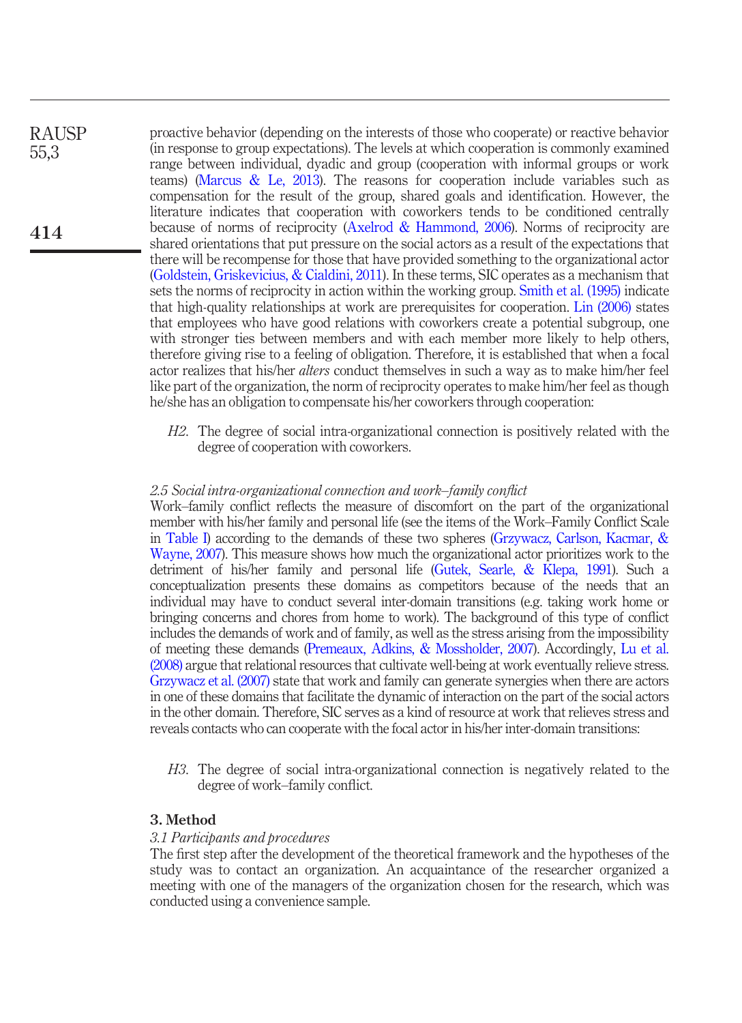proactive behavior (depending on the interests of those who cooperate) or reactive behavior (in response to group expectations). The levels at which cooperation is commonly examined range between individual, dyadic and group (cooperation with informal groups or work teams) (Marcus  $\&$  Le, 2013). The reasons for cooperation include variables such as compensation for the result of the group, shared goals and identification. However, the literature indicates that cooperation with coworkers tends to be conditioned centrally because of norms of reciprocity ([Axelrod & Hammond, 2006\)](#page-12-0). Norms of reciprocity are shared orientations that put pressure on the social actors as a result of the expectations that there will be recompense for those that have provided something to the organizational actor [\(Goldstein, Griskevicius, & Cialdini, 2011](#page-13-10)). In these terms, SIC operates as a mechanism that sets the norms of reciprocity in action within the working group. [Smith et al. \(1995\)](#page-14-7) indicate that high-quality relationships at work are prerequisites for cooperation. [Lin \(2006\)](#page-13-11) states that employees who have good relations with coworkers create a potential subgroup, one with stronger ties between members and with each member more likely to help others, therefore giving rise to a feeling of obligation. Therefore, it is established that when a focal actor realizes that his/her alters conduct themselves in such a way as to make him/her feel like part of the organization, the norm of reciprocity operates to make him/her feel as though he/she has an obligation to compensate his/her coworkers through cooperation: RAUSP

> H2. The degree of social intra-organizational connection is positively related with the degree of cooperation with coworkers.

# 2.5 Social intra-organizational connection and work–family conflict

Work–family conflict reflects the measure of discomfort on the part of the organizational member with his/her family and personal life (see the items of the Work–Family Conflict Scale in [Table I\)](#page-6-0) according to the demands of these two spheres [\(Grzywacz, Carlson, Kacmar, &](#page-13-12) [Wayne, 2007](#page-13-12)). This measure shows how much the organizational actor prioritizes work to the detriment of his/her family and personal life [\(Gutek, Searle, & Klepa, 1991](#page-13-13)). Such a conceptualization presents these domains as competitors because of the needs that an individual may have to conduct several inter-domain transitions (e.g. taking work home or bringing concerns and chores from home to work). The background of this type of conflict includes the demands of work and of family, as well as the stress arising from the impossibility of meeting these demands [\(Premeaux, Adkins, & Mossholder, 2007\)](#page-14-9). Accordingly, [Lu et al.](#page-14-10) [\(2008\)](#page-14-10) argue that relational resources that cultivate well-being at work eventually relieve stress. [Grzywacz et al. \(2007\)](#page-13-12) state that work and family can generate synergies when there are actors in one of these domains that facilitate the dynamic of interaction on the part of the social actors in the other domain. Therefore, SIC serves as a kind of resource at work that relieves stress and reveals contacts who can cooperate with the focal actor in his/her inter-domain transitions:

H3. The degree of social intra-organizational connection is negatively related to the degree of work–family conflict.

# 3. Method

55,3

414

#### 3.1 Participants and procedures

The first step after the development of the theoretical framework and the hypotheses of the study was to contact an organization. An acquaintance of the researcher organized a meeting with one of the managers of the organization chosen for the research, which was conducted using a convenience sample.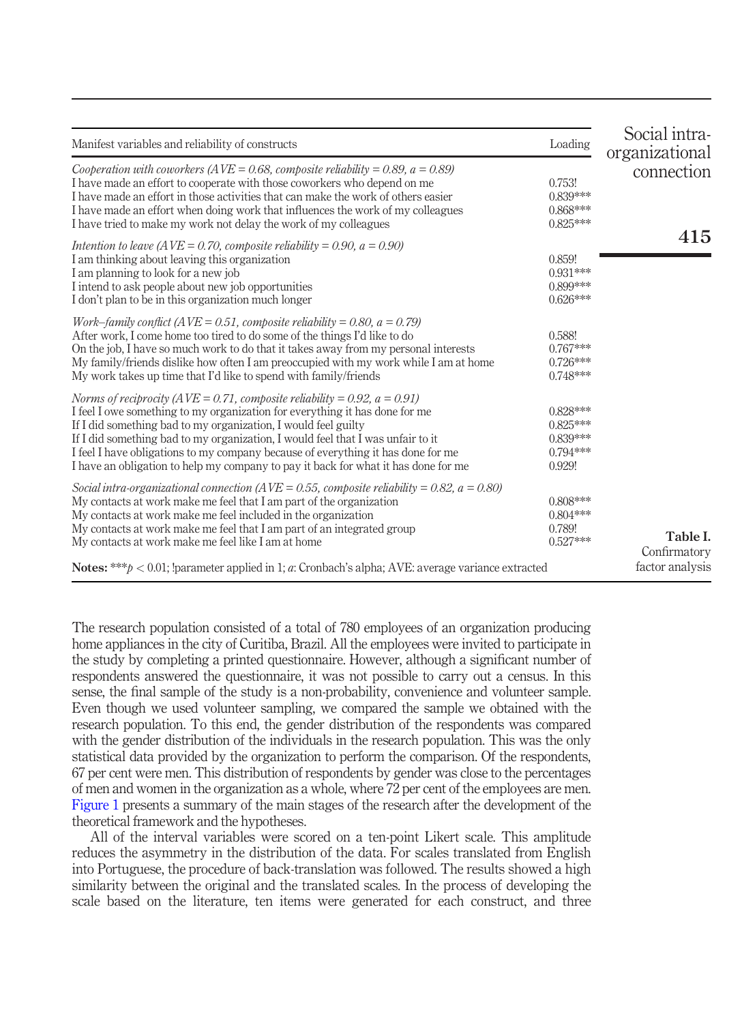| Manifest variables and reliability of constructs                                                                                                                                                                                                                                                                                                                                                                                                                                               | Loading                                                        | Social intra-<br>organizational |
|------------------------------------------------------------------------------------------------------------------------------------------------------------------------------------------------------------------------------------------------------------------------------------------------------------------------------------------------------------------------------------------------------------------------------------------------------------------------------------------------|----------------------------------------------------------------|---------------------------------|
| Cooperation with coworkers ( $AVE = 0.68$ , composite reliability = 0.89, $a = 0.89$ )<br>I have made an effort to cooperate with those coworkers who depend on me<br>I have made an effort in those activities that can make the work of others easier<br>I have made an effort when doing work that influences the work of my colleagues<br>I have tried to make my work not delay the work of my colleagues                                                                                 | 0.753!<br>0.839***<br>$0.868***$<br>$0.825***$                 | connection                      |
| Intention to leave ( $AVE = 0.70$ , composite reliability = 0.90, $a = 0.90$ )<br>I am thinking about leaving this organization<br>I am planning to look for a new job<br>I intend to ask people about new job opportunities<br>I don't plan to be in this organization much longer                                                                                                                                                                                                            | 0.859!<br>$0.931***$<br>0.899***<br>$0.626***$                 | 415                             |
| Work-family conflict (AVE = 0.51, composite reliability = 0.80, $a = 0.79$ )<br>After work, I come home too tired to do some of the things I'd like to do<br>On the job, I have so much work to do that it takes away from my personal interests<br>My family/friends dislike how often I am preoccupied with my work while I am at home<br>My work takes up time that I'd like to spend with family/friends                                                                                   | 0.588!<br>$0.767***$<br>$0.726***$<br>$0748***$                |                                 |
| Norms of reciprocity ( $AVE = 0.71$ , composite reliability = 0.92, $a = 0.91$ )<br>I feel I owe something to my organization for everything it has done for me<br>If I did something bad to my organization, I would feel guilty<br>If I did something bad to my organization, I would feel that I was unfair to it<br>I feel I have obligations to my company because of everything it has done for me<br>I have an obligation to help my company to pay it back for what it has done for me | $0.828***$<br>$0.825***$<br>$0.839***$<br>$0.794***$<br>0.929! |                                 |
| Social intra-organizational connection ( $AVE = 0.55$ , composite reliability = 0.82, $a = 0.80$ )<br>My contacts at work make me feel that I am part of the organization<br>My contacts at work make me feel included in the organization<br>My contacts at work make me feel that I am part of an integrated group<br>My contacts at work make me feel like I am at home                                                                                                                     | $0.808***$<br>$0.804***$<br>0.789!<br>$0.527***$               | Table I.<br>Confirmatory        |
| <b>Notes:</b> *** $p < 0.01$ ; !parameter applied in 1; a: Cronbach's alpha; AVE: average variance extracted                                                                                                                                                                                                                                                                                                                                                                                   |                                                                | factor analysis                 |

<span id="page-6-0"></span>The research population consisted of a total of 780 employees of an organization producing home appliances in the city of Curitiba, Brazil. All the employees were invited to participate in the study by completing a printed questionnaire. However, although a significant number of respondents answered the questionnaire, it was not possible to carry out a census. In this sense, the final sample of the study is a non-probability, convenience and volunteer sample. Even though we used volunteer sampling, we compared the sample we obtained with the research population. To this end, the gender distribution of the respondents was compared with the gender distribution of the individuals in the research population. This was the only statistical data provided by the organization to perform the comparison. Of the respondents, 67 per cent were men. This distribution of respondents by gender was close to the percentages of men and women in the organization as a whole, where 72 per cent of the employees are men. [Figure 1](#page-7-0) presents a summary of the main stages of the research after the development of the theoretical framework and the hypotheses.

All of the interval variables were scored on a ten-point Likert scale. This amplitude reduces the asymmetry in the distribution of the data. For scales translated from English into Portuguese, the procedure of back-translation was followed. The results showed a high similarity between the original and the translated scales. In the process of developing the scale based on the literature, ten items were generated for each construct, and three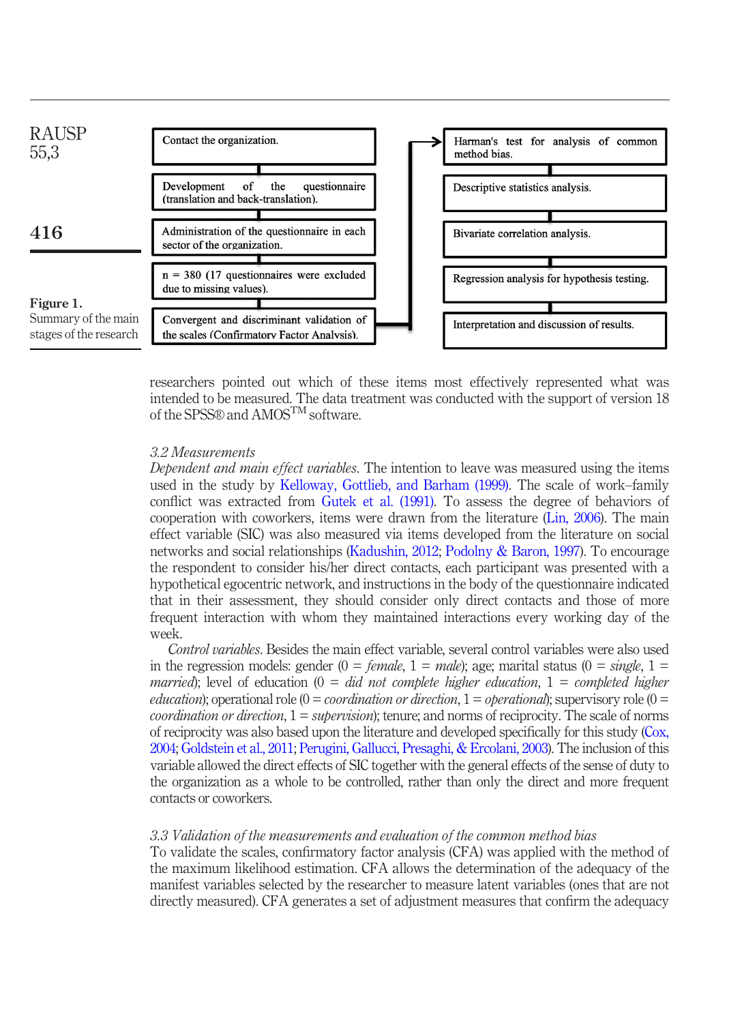

<span id="page-7-0"></span>researchers pointed out which of these items most effectively represented what was intended to be measured. The data treatment was conducted with the support of version 18 of the SPSS® and  $AMOS^{TM}$  software.

#### 3.2 Measurements

Dependent and main effect variables. The intention to leave was measured using the items used in the study by [Kelloway, Gottlieb, and Barham \(1999\)](#page-13-14). The scale of work–family conflict was extracted from [Gutek et al. \(1991\).](#page-13-13) To assess the degree of behaviors of cooperation with coworkers, items were drawn from the literature ([Lin, 2006](#page-13-11)). The main effect variable (SIC) was also measured via items developed from the literature on social networks and social relationships ([Kadushin, 2012;](#page-13-2) [Podolny & Baron, 1997\)](#page-14-0). To encourage the respondent to consider his/her direct contacts, each participant was presented with a hypothetical egocentric network, and instructions in the body of the questionnaire indicated that in their assessment, they should consider only direct contacts and those of more frequent interaction with whom they maintained interactions every working day of the week.

Control variables. Besides the main effect variable, several control variables were also used in the regression models: gender  $(0 = female, 1 = male)$ ; age; marital status  $(0 = single, 1 =$ married); level of education (0 = did not complete higher education, 1 = completed higher *education*); operational role (0 = *coordination or direction*, 1 = *operational*); supervisory role (0 = *coordination or direction,*  $1 = subervation$ ; tenure; and norms of reciprocity. The scale of norms of reciprocity was also based upon the literature and developed specifically for this study ([Cox,](#page-13-15) [2004;](#page-13-15) [Goldstein et al., 2011](#page-13-10); [Perugini, Gallucci, Presaghi, & Ercolani, 2003](#page-14-11)). The inclusion of this variable allowed the direct effects of SIC together with the general effects of the sense of duty to the organization as a whole to be controlled, rather than only the direct and more frequent contacts or coworkers.

#### 3.3 Validation of the measurements and evaluation of the common method bias

To validate the scales, confirmatory factor analysis (CFA) was applied with the method of the maximum likelihood estimation. CFA allows the determination of the adequacy of the manifest variables selected by the researcher to measure latent variables (ones that are not directly measured). CFA generates a set of adjustment measures that confirm the adequacy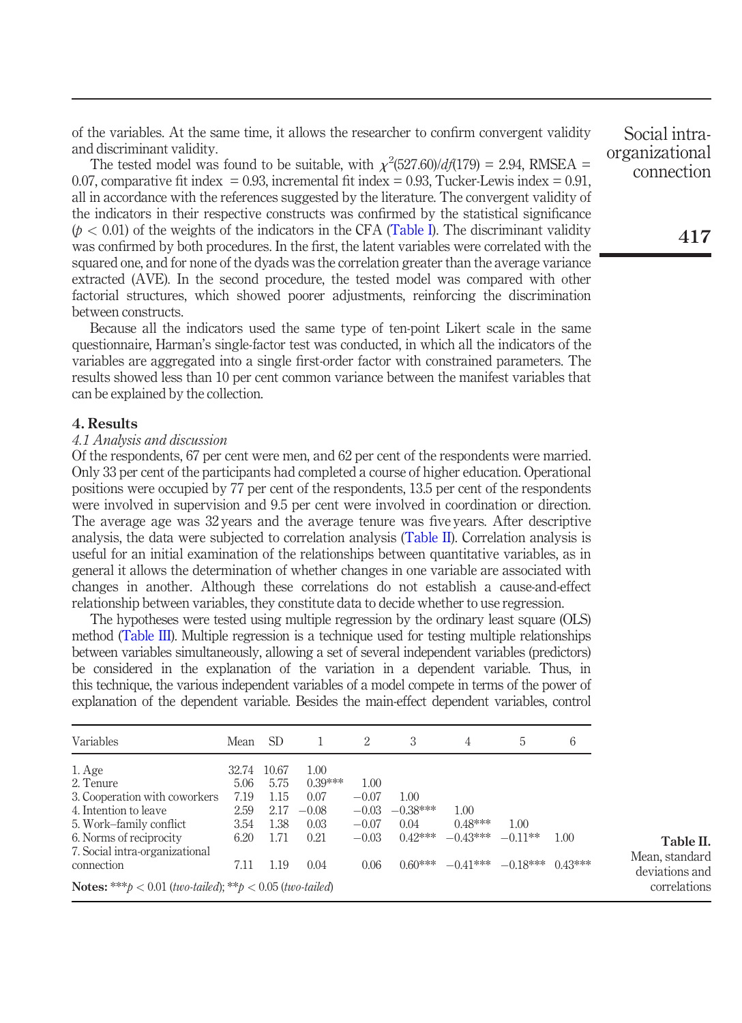of the variables. At the same time, it allows the researcher to confirm convergent validity and discriminant validity.

The tested model was found to be suitable, with  $\chi^2$ (527.60)/df(179) = 2.94, RMSEA = 0.07, comparative fit index = 0.93, incremental fit index = 0.93, Tucker-Lewis index = 0.91, all in accordance with the references suggested by the literature. The convergent validity of the indicators in their respective constructs was confirmed by the statistical significance  $(p < 0.01)$  of the weights of the indicators in the CFA ([Table I\)](#page-6-0). The discriminant validity was confirmed by both procedures. In the first, the latent variables were correlated with the squared one, and for none of the dyads was the correlation greater than the average variance extracted (AVE). In the second procedure, the tested model was compared with other factorial structures, which showed poorer adjustments, reinforcing the discrimination between constructs.

Because all the indicators used the same type of ten-point Likert scale in the same questionnaire, Harman's single-factor test was conducted, in which all the indicators of the variables are aggregated into a single first-order factor with constrained parameters. The results showed less than 10 per cent common variance between the manifest variables that can be explained by the collection.

#### 4. Results

#### 4.1 Analysis and discussion

Of the respondents, 67 per cent were men, and 62 per cent of the respondents were married. Only 33 per cent of the participants had completed a course of higher education. Operational positions were occupied by 77 per cent of the respondents, 13.5 per cent of the respondents were involved in supervision and 9.5 per cent were involved in coordination or direction. The average age was 32 years and the average tenure was five years. After descriptive analysis, the data were subjected to correlation analysis [\(Table II](#page-8-0)). Correlation analysis is useful for an initial examination of the relationships between quantitative variables, as in general it allows the determination of whether changes in one variable are associated with changes in another. Although these correlations do not establish a cause-and-effect relationship between variables, they constitute data to decide whether to use regression.

The hypotheses were tested using multiple regression by the ordinary least square (OLS) method [\(Table III\)](#page-9-0). Multiple regression is a technique used for testing multiple relationships between variables simultaneously, allowing a set of several independent variables (predictors) be considered in the explanation of the variation in a dependent variable. Thus, in this technique, the various independent variables of a model compete in terms of the power of explanation of the dependent variable. Besides the main-effect dependent variables, control

| Variables                                                             | Mean  | SD.   |           | 2       | 3          | 4                     | 5         | 6         |
|-----------------------------------------------------------------------|-------|-------|-----------|---------|------------|-----------------------|-----------|-----------|
| 1. Age                                                                | 32.74 | 10.67 | 1.00      |         |            |                       |           |           |
| 2. Tenure                                                             | 5.06  | 5.75  | $0.39***$ | 1.00    |            |                       |           |           |
| 3. Cooperation with coworkers                                         | 7.19  | 1.15  | 0.07      | $-0.07$ | 1.00       |                       |           |           |
| 4. Intention to leave                                                 | 2.59  | 2.17  | $-0.08$   | $-0.03$ | $-0.38***$ | 1.00                  |           |           |
| 5. Work-family conflict                                               | 3.54  | 1.38  | 0.03      | $-0.07$ | 0.04       | $0.48***$             | 1.00      |           |
| 6. Norms of reciprocity                                               | 6.20  | 1.71  | 0.21      | $-0.03$ | $0.42***$  | $-0.43***$            | $-0.11**$ | 1.00      |
| 7. Social intra-organizational                                        |       |       |           |         |            |                       |           |           |
| connection                                                            | 7.11  | 1.19  | 0.04      | 0.06    | $0.60***$  | $-0.41***$ $-0.18***$ |           | $0.43***$ |
| <b>Notes:</b> *** $p < 0.01$ (two-tailed); ** $p < 0.05$ (two-tailed) |       |       |           |         |            |                       |           |           |

Social intraorganizational connection

417

<span id="page-8-0"></span>Table II. Mean, standard deviations and correlations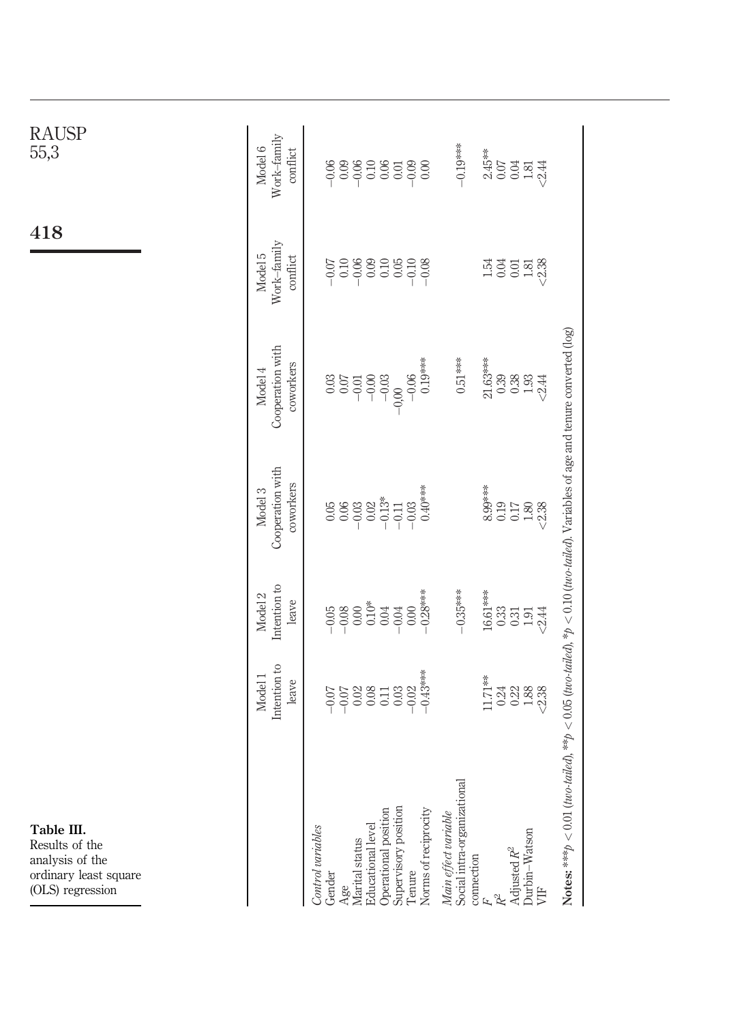<span id="page-9-0"></span>

| Table III.<br>Results of the<br>analysis of the<br>ordinary least square<br>(OLS) regression                                           |                                             |                                                   |                                                                         |                                                                                                             | 418                                                                                                                                                                                                                                                                                                                               | RAUSP<br>-<br>55,3                 |
|----------------------------------------------------------------------------------------------------------------------------------------|---------------------------------------------|---------------------------------------------------|-------------------------------------------------------------------------|-------------------------------------------------------------------------------------------------------------|-----------------------------------------------------------------------------------------------------------------------------------------------------------------------------------------------------------------------------------------------------------------------------------------------------------------------------------|------------------------------------|
|                                                                                                                                        |                                             |                                                   |                                                                         |                                                                                                             |                                                                                                                                                                                                                                                                                                                                   |                                    |
|                                                                                                                                        | Intention to<br>Model 1<br>leave            | Intention to<br>Model <sub>2</sub><br>leave       | Cooperation with<br>coworkers<br>Model 3                                | Cooperation with<br>coworkers<br>Model 4                                                                    | Work-family<br>Model 5<br>conflict                                                                                                                                                                                                                                                                                                | Work-family<br>Model 6<br>conflict |
| Control variables                                                                                                                      |                                             |                                                   |                                                                         |                                                                                                             |                                                                                                                                                                                                                                                                                                                                   |                                    |
| Gender<br>Age<br>Marital status                                                                                                        | $-0.07$                                     |                                                   | $\begin{array}{c} 6860 \\ 6960 \\ 6960 \\ 6960 \\ 100 \\ 1 \end{array}$ | $\begin{array}{c} 0.03 \\ 0.07 \\ 0.01 \\ 0.00 \\ 0.01 \\ 0.03 \\ \end{array}$                              | $\begin{array}{r} 0.768 \\ -0.768 \\ -0.768 \\ -0.768 \\ -0.768 \\ -0.768 \\ -0.768 \\ -0.768 \\ -0.768 \\ -0.768 \\ -0.768 \\ -0.768 \\ -0.768 \\ -0.768 \\ -0.768 \\ -0.768 \\ -0.768 \\ -0.768 \\ -0.768 \\ -0.768 \\ -0.768 \\ -0.768 \\ -0.768 \\ -0.768 \\ -0.768 \\ -0.768 \\ -0.768 \\ -0.768 \\ -0.768 \\ -0.768 \\ -0.$ | 88828588                           |
| Educational level                                                                                                                      | $\begin{array}{c} 0.02 \\ 0.08 \end{array}$ |                                                   |                                                                         |                                                                                                             |                                                                                                                                                                                                                                                                                                                                   |                                    |
| Supervisory position<br>Tenure<br>Operational position                                                                                 | $-0.03$<br>0.11                             |                                                   |                                                                         | $-0,00$                                                                                                     |                                                                                                                                                                                                                                                                                                                                   |                                    |
| Norms of reciprocity                                                                                                                   | $-0.43***$                                  | $0.00$<br>$-0.28***$                              | $0.40***$<br>$-0.03$                                                    | $-0.06$<br>0.19***                                                                                          |                                                                                                                                                                                                                                                                                                                                   |                                    |
| Social intra-organizational<br>Main effect variable                                                                                    |                                             | $-0.35***$                                        |                                                                         | $0.51***$                                                                                                   |                                                                                                                                                                                                                                                                                                                                   | $-0.19***$                         |
| connection                                                                                                                             | $11.71**$                                   | 16.61***                                          |                                                                         |                                                                                                             |                                                                                                                                                                                                                                                                                                                                   |                                    |
| $\mathbb{R}^2$                                                                                                                         |                                             |                                                   |                                                                         |                                                                                                             |                                                                                                                                                                                                                                                                                                                                   |                                    |
| Adjusted $R^2$                                                                                                                         | $0.24$<br>$0.28$<br>$-0.38$<br>$-0.38$      | $\begin{array}{c} 33 \\ 0.51 \\ 1.91 \end{array}$ | $8.99***\n0.19\n0.17\n1.80\n\sqrt{2.38}$                                | $\begin{array}{l} 21.63^{***} \\ 21.99 \\ 0.38 \\ 0.38 \\ 1.93 \\ \bigcirc \\ 2.44 \\ \bigcirc \end{array}$ | 1335338                                                                                                                                                                                                                                                                                                                           | **<br>0.07<br>0.04<br>1.81<br>72   |
| Durbin–Watson<br>VIF                                                                                                                   |                                             | 2.44                                              |                                                                         |                                                                                                             |                                                                                                                                                                                                                                                                                                                                   |                                    |
| Notes: *** $p > 0.01$ (two-tailed), ** $p < 0.05$ (two-tailed), * $p < 0.10$ (two-tailed). Variables of age and tenure converted (log) |                                             |                                                   |                                                                         |                                                                                                             |                                                                                                                                                                                                                                                                                                                                   |                                    |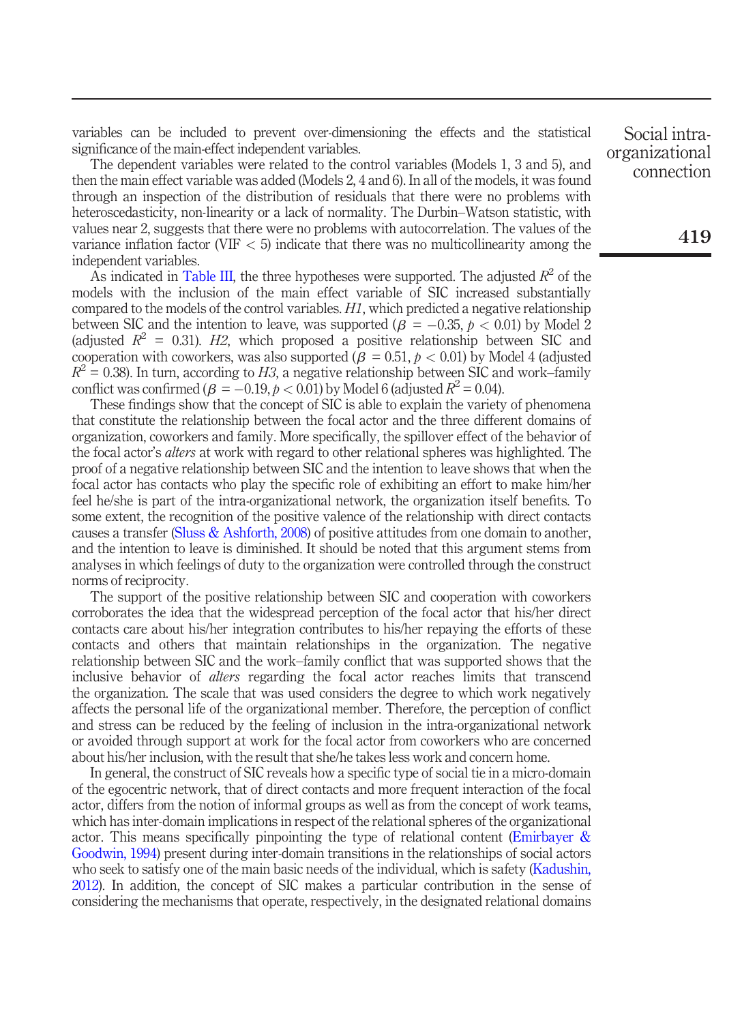variables can be included to prevent over-dimensioning the effects and the statistical significance of the main-effect independent variables.

The dependent variables were related to the control variables (Models 1, 3 and 5), and then the main effect variable was added (Models 2, 4 and 6). In all of the models, it was found through an inspection of the distribution of residuals that there were no problems with heteroscedasticity, non-linearity or a lack of normality. The Durbin–Watson statistic, with values near 2, suggests that there were no problems with autocorrelation. The values of the variance inflation factor (VIF  $<$  5) indicate that there was no multicollinearity among the independent variables.

As indicated in [Table III,](#page-9-0) the three hypotheses were supported. The adjusted  $R^2$  of the models with the inclusion of the main effect variable of SIC increased substantially compared to the models of the control variables.  $H1$ , which predicted a negative relationship between SIC and the intention to leave, was supported ( $\beta = -0.35$ ,  $p < 0.01$ ) by Model 2 (adjusted  $R^2 = 0.31$ ). H2, which proposed a positive relationship between SIC and cooperation with coworkers, was also supported ( $\beta = 0.51$ ,  $p < 0.01$ ) by Model 4 (adjusted  $R^2 = 0.38$ ). In turn, according to H3, a negative relationship between SIC and work–family conflict was confirmed ( $\beta = -0.19$ ,  $p < 0.01$ ) by Model 6 (adjusted  $R^2 = 0.04$ ).

These findings show that the concept of SIC is able to explain the variety of phenomena that constitute the relationship between the focal actor and the three different domains of organization, coworkers and family. More specifically, the spillover effect of the behavior of the focal actor's *alters* at work with regard to other relational spheres was highlighted. The proof of a negative relationship between SIC and the intention to leave shows that when the focal actor has contacts who play the specific role of exhibiting an effort to make him/her feel he/she is part of the intra-organizational network, the organization itself benefits. To some extent, the recognition of the positive valence of the relationship with direct contacts causes a transfer (Sluss  $&$  Ashforth, 2008) of positive attitudes from one domain to another, and the intention to leave is diminished. It should be noted that this argument stems from analyses in which feelings of duty to the organization were controlled through the construct norms of reciprocity.

The support of the positive relationship between SIC and cooperation with coworkers corroborates the idea that the widespread perception of the focal actor that his/her direct contacts care about his/her integration contributes to his/her repaying the efforts of these contacts and others that maintain relationships in the organization. The negative relationship between SIC and the work–family conflict that was supported shows that the inclusive behavior of alters regarding the focal actor reaches limits that transcend the organization. The scale that was used considers the degree to which work negatively affects the personal life of the organizational member. Therefore, the perception of conflict and stress can be reduced by the feeling of inclusion in the intra-organizational network or avoided through support at work for the focal actor from coworkers who are concerned about his/her inclusion, with the result that she/he takes less work and concern home.

In general, the construct of SIC reveals how a specific type of social tie in a micro-domain of the egocentric network, that of direct contacts and more frequent interaction of the focal actor, differs from the notion of informal groups as well as from the concept of work teams, which has inter-domain implications in respect of the relational spheres of the organizational actor. This means specifically pinpointing the type of relational content (Emirbayer  $\&$ [Goodwin, 1994](#page-13-3)) present during inter-domain transitions in the relationships of social actors who seek to satisfy one of the main basic needs of the individual, which is safety [\(Kadushin,](#page-13-2) [2012\)](#page-13-2). In addition, the concept of SIC makes a particular contribution in the sense of considering the mechanisms that operate, respectively, in the designated relational domains

Social intraorganizational connection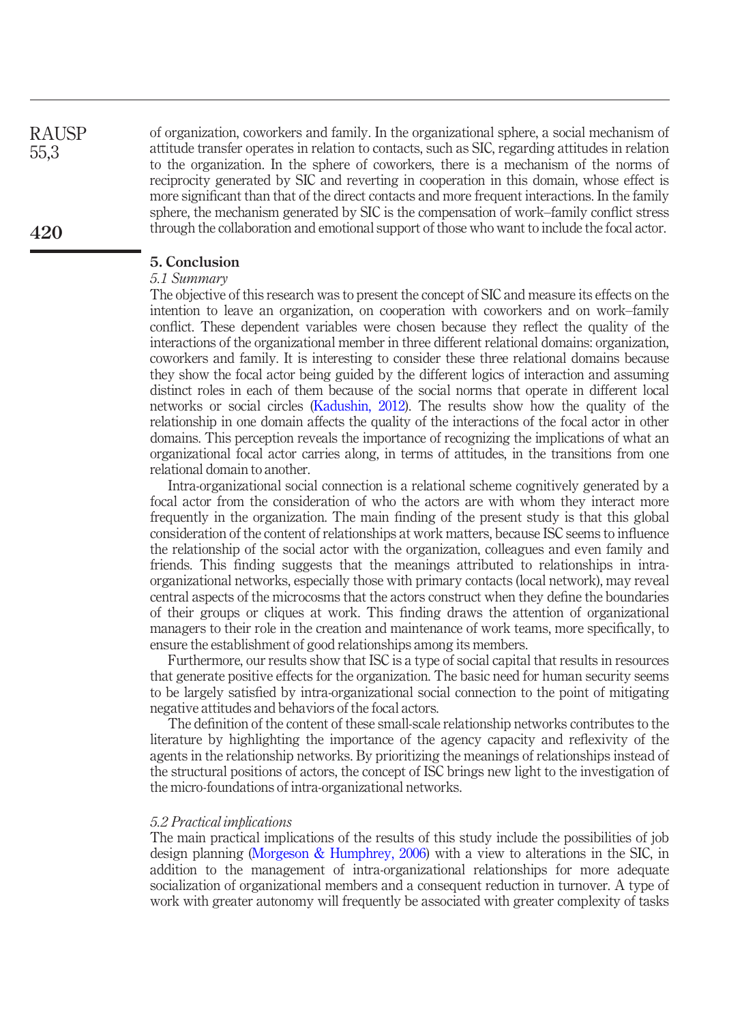of organization, coworkers and family. In the organizational sphere, a social mechanism of attitude transfer operates in relation to contacts, such as SIC, regarding attitudes in relation to the organization. In the sphere of coworkers, there is a mechanism of the norms of reciprocity generated by SIC and reverting in cooperation in this domain, whose effect is more significant than that of the direct contacts and more frequent interactions. In the family sphere, the mechanism generated by SIC is the compensation of work–family conflict stress through the collaboration and emotional support of those who want to include the focal actor.

# 5. Conclusion

# 5.1 Summary

The objective of this research was to present the concept of SIC and measure its effects on the intention to leave an organization, on cooperation with coworkers and on work–family conflict. These dependent variables were chosen because they reflect the quality of the interactions of the organizational member in three different relational domains: organization, coworkers and family. It is interesting to consider these three relational domains because they show the focal actor being guided by the different logics of interaction and assuming distinct roles in each of them because of the social norms that operate in different local networks or social circles ([Kadushin, 2012](#page-13-2)). The results show how the quality of the relationship in one domain affects the quality of the interactions of the focal actor in other domains. This perception reveals the importance of recognizing the implications of what an organizational focal actor carries along, in terms of attitudes, in the transitions from one relational domain to another.

Intra-organizational social connection is a relational scheme cognitively generated by a focal actor from the consideration of who the actors are with whom they interact more frequently in the organization. The main finding of the present study is that this global consideration of the content of relationships at work matters, because ISC seems to influence the relationship of the social actor with the organization, colleagues and even family and friends. This finding suggests that the meanings attributed to relationships in intraorganizational networks, especially those with primary contacts (local network), may reveal central aspects of the microcosms that the actors construct when they define the boundaries of their groups or cliques at work. This finding draws the attention of organizational managers to their role in the creation and maintenance of work teams, more specifically, to ensure the establishment of good relationships among its members.

Furthermore, our results show that ISC is a type of social capital that results in resources that generate positive effects for the organization. The basic need for human security seems to be largely satisfied by intra-organizational social connection to the point of mitigating negative attitudes and behaviors of the focal actors.

The definition of the content of these small-scale relationship networks contributes to the literature by highlighting the importance of the agency capacity and reflexivity of the agents in the relationship networks. By prioritizing the meanings of relationships instead of the structural positions of actors, the concept of ISC brings new light to the investigation of the micro-foundations of intra-organizational networks.

#### 5.2 Practical implications

The main practical implications of the results of this study include the possibilities of job design planning ([Morgeson & Humphrey, 2006](#page-14-12)) with a view to alterations in the SIC, in addition to the management of intra-organizational relationships for more adequate socialization of organizational members and a consequent reduction in turnover. A type of work with greater autonomy will frequently be associated with greater complexity of tasks

420

RAUSP 55,3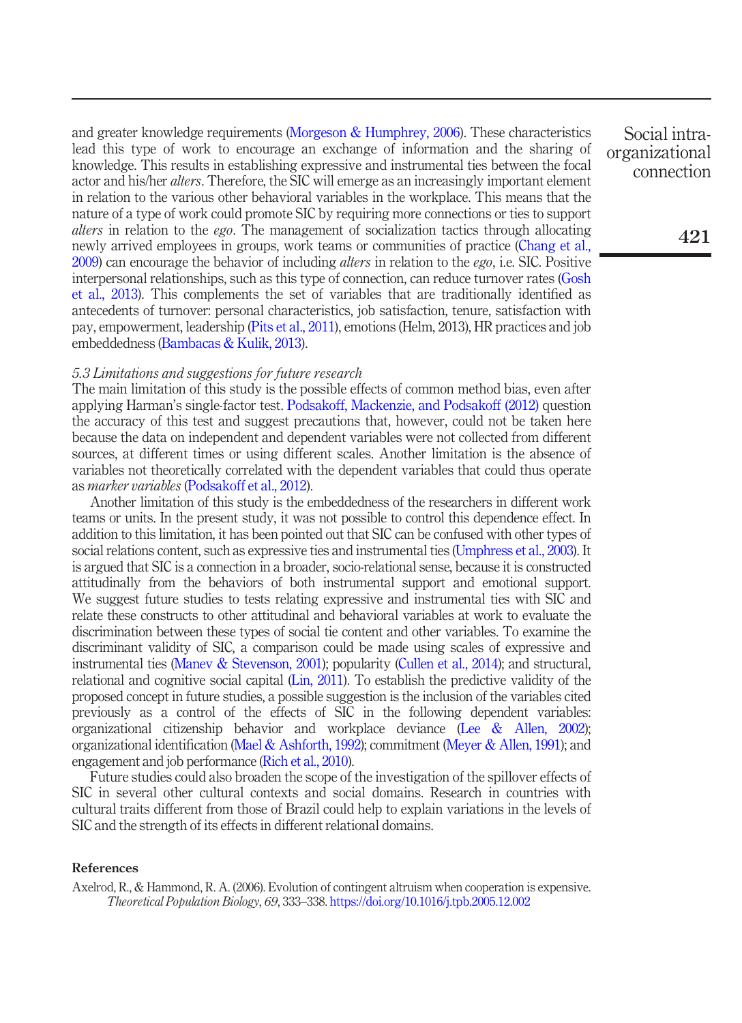and greater knowledge requirements (Morgeson  $&$  Humphrey, 2006). These characteristics lead this type of work to encourage an exchange of information and the sharing of knowledge. This results in establishing expressive and instrumental ties between the focal actor and his/her *alters*. Therefore, the SIC will emerge as an increasingly important element in relation to the various other behavioral variables in the workplace. This means that the nature of a type of work could promote SIC by requiring more connections or ties to support alters in relation to the ego. The management of socialization tactics through allocating newly arrived employees in groups, work teams or communities of practice [\(Chang et al.,](#page-13-16)  $2009$ ) can encourage the behavior of including *alters* in relation to the *ego*, i.e. SIC. Positive interpersonal relationships, such as this type of connection, can reduce turnover rates [\(Gosh](#page-13-17) [et al., 2013\)](#page-13-17). This complements the set of variables that are traditionally identified as antecedents of turnover: personal characteristics, job satisfaction, tenure, satisfaction with pay, empowerment, leadership [\(Pits et al., 2011\)](#page-14-13), emotions (Helm, 2013), HR practices and job embeddedness ([Bambacas & Kulik, 2013](#page-13-18)).

#### 5.3 Limitations and suggestions for future research

The main limitation of this study is the possible effects of common method bias, even after applying Harman's single-factor test. [Podsakoff, Mackenzie, and Podsakoff \(2012\)](#page-14-14) question the accuracy of this test and suggest precautions that, however, could not be taken here because the data on independent and dependent variables were not collected from different sources, at different times or using different scales. Another limitation is the absence of variables not theoretically correlated with the dependent variables that could thus operate as *marker variables* ([Podsakoff et al., 2012\)](#page-14-14).

Another limitation of this study is the embeddedness of the researchers in different work teams or units. In the present study, it was not possible to control this dependence effect. In addition to this limitation, it has been pointed out that SIC can be confused with other types of social relations content, such as expressive ties and instrumental ties [\(Umphress et al., 2003](#page-14-5)). It is argued that SIC is a connection in a broader, socio-relational sense, because it is constructed attitudinally from the behaviors of both instrumental support and emotional support. We suggest future studies to tests relating expressive and instrumental ties with SIC and relate these constructs to other attitudinal and behavioral variables at work to evaluate the discrimination between these types of social tie content and other variables. To examine the discriminant validity of SIC, a comparison could be made using scales of expressive and instrumental ties [\(Manev & Stevenson, 2001](#page-14-15)); popularity [\(Cullen et al., 2014](#page-13-19)); and structural, relational and cognitive social capital ([Lin, 2011](#page-14-16)). To establish the predictive validity of the proposed concept in future studies, a possible suggestion is the inclusion of the variables cited previously as a control of the effects of SIC in the following dependent variables: organizational citizenship behavior and workplace deviance [\(Lee & Allen, 2002\)](#page-13-20); organizational identification ([Mael & Ashforth, 1992\)](#page-14-17); commitment [\(Meyer & Allen, 1991\)](#page-14-18); and engagement and job performance ([Rich et al., 2010](#page-14-19)).

Future studies could also broaden the scope of the investigation of the spillover effects of SIC in several other cultural contexts and social domains. Research in countries with cultural traits different from those of Brazil could help to explain variations in the levels of SIC and the strength of its effects in different relational domains.

### References

<span id="page-12-0"></span>Axelrod, R., & Hammond, R. A. (2006). Evolution of contingent altruism when cooperation is expensive. Theoretical Population Biology, 69, 333–338. [https://doi.org/10.1016/j.tpb.2005.12.002](http://dx.doi.org/10.1016/j.tpb.2005.12.002)

Social intraorganizational connection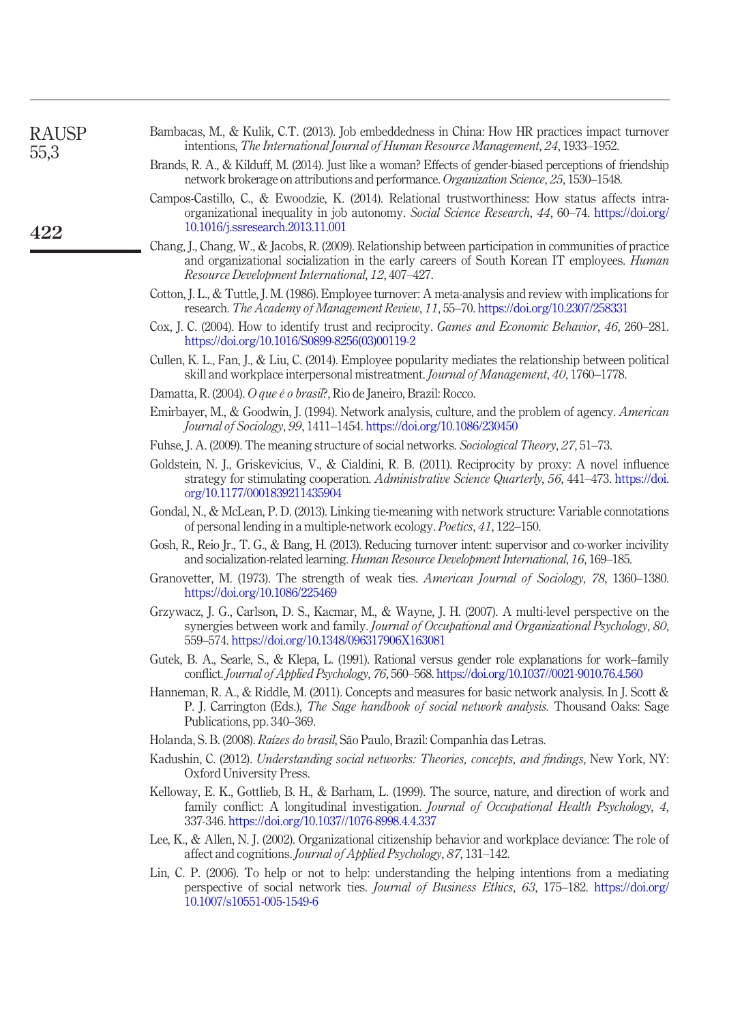<span id="page-13-20"></span><span id="page-13-19"></span><span id="page-13-18"></span><span id="page-13-17"></span><span id="page-13-16"></span><span id="page-13-15"></span><span id="page-13-14"></span><span id="page-13-13"></span><span id="page-13-12"></span><span id="page-13-11"></span><span id="page-13-10"></span><span id="page-13-9"></span><span id="page-13-8"></span><span id="page-13-7"></span><span id="page-13-6"></span><span id="page-13-5"></span><span id="page-13-4"></span><span id="page-13-3"></span><span id="page-13-2"></span><span id="page-13-1"></span><span id="page-13-0"></span>

| <b>RAUSP</b><br>55,3 | Bambacas, M., & Kulik, C.T. (2013). Job embeddedness in China: How HR practices impact turnover<br>intentions, The International Journal of Human Resource Management, 24, 1933–1952.                                                                            |
|----------------------|------------------------------------------------------------------------------------------------------------------------------------------------------------------------------------------------------------------------------------------------------------------|
|                      | Brands, R. A., & Kilduff, M. (2014). Just like a woman? Effects of gender-biased perceptions of friendship<br>network brokerage on attributions and performance. Organization Science, 25, 1530–1548.                                                            |
| 422                  | Campos-Castillo, C., & Ewoodzie, K. (2014). Relational trustworthiness: How status affects intra-<br>organizational inequality in job autonomy. Social Science Research, 44, 60-74. https://doi.org/<br>10.1016/i.ssresearch.2013.11.001                         |
|                      | Chang, J., Chang, W., & Jacobs, R. (2009). Relationship between participation in communities of practice<br>and organizational socialization in the early careers of South Korean IT employees. <i>Human</i><br>Resource Development International, 12, 407-427. |
|                      | Cotton, J. L., & Tuttle, J. M. (1986). Employee turnover: A meta-analysis and review with implications for<br>research. The Academy of Management Review, 11, 55-70. https://doi.org/10.2307/258331                                                              |
|                      | Cox, J. C. (2004). How to identify trust and reciprocity. Games and Economic Behavior, 46, 260-281.<br>https://doi.org/10.1016/S0899-8256(03)00119-2                                                                                                             |
|                      | Cullen, K. L., Fan, J., & Liu, C. (2014). Employee popularity mediates the relationship between political<br>skill and workplace interpersonal mistreatment. Journal of Management, 40, 1760–1778.                                                               |
|                      | Damatta, R. (2004). O que é o brasil?, Rio de Janeiro, Brazil: Rocco.                                                                                                                                                                                            |
|                      | Emirbayer, M., & Goodwin, J. (1994). Network analysis, culture, and the problem of agency. American<br>Journal of Sociology, 99, 1411-1454. https://doi.org/10.1086/230450                                                                                       |
|                      | Fuhse, J. A. (2009). The meaning structure of social networks. Sociological Theory, 27, 51–73.                                                                                                                                                                   |
|                      | Goldstein, N. J., Griskevicius, V., & Cialdini, R. B. (2011). Reciprocity by proxy: A novel influence<br>strategy for stimulating cooperation. Administrative Science Quarterly, 56, 441-473. https://doi.<br>org/10.1177/0001839211435904                       |
|                      | Gondal, N., & McLean, P. D. (2013). Linking tie-meaning with network structure: Variable connotations<br>of personal lending in a multiple-network ecology. <i>Poetics</i> , 41, 122–150.                                                                        |
|                      | Gosh, R., Reio Jr., T. G., & Bang, H. (2013). Reducing turnover intent: supervisor and co-worker incivility<br>and socialization-related learning. Human Resource Development International, 16, 169-185.                                                        |
|                      | Granovetter, M. (1973). The strength of weak ties. American Journal of Sociology, 78, 1360-1380.<br>https://doi.org/10.1086/225469                                                                                                                               |
|                      | Grzywacz, J. G., Carlson, D. S., Kacmar, M., & Wayne, J. H. (2007). A multi-level perspective on the<br>synergies between work and family. Journal of Occupational and Organizational Psychology, 80,<br>559-574. https://doi.org/10.1348/096317906X163081       |
|                      | Gutek, B. A., Searle, S., & Klepa, L. (1991). Rational versus gender role explanations for work–family<br>conflict. Journal of Applied Psychology, 76, 560-568. https://doi.org/10.1037//0021-9010.76.4.560                                                      |
|                      | Hanneman, R. A., & Riddle, M. (2011). Concepts and measures for basic network analysis. In J. Scott &<br>P. J. Carrington (Eds.), <i>The Sage handbook of social network analysis</i> . Thousand Oaks: Sage<br>Publications, pp. 340–369.                        |
|                      | Holanda, S. B. (2008). Raízes do brasil, São Paulo, Brazil: Companhia das Letras.                                                                                                                                                                                |
|                      | Kadushin, C. (2012). Understanding social networks: Theories, concepts, and findings, New York, NY:<br>Oxford University Press.                                                                                                                                  |
|                      | Kelloway, E. K., Gottlieb, B. H., & Barham, L. (1999). The source, nature, and direction of work and<br>family conflict: A longitudinal investigation. Journal of Occupational Health Psychology, 4,<br>337-346. https://doi.org/10.1037//1076-8998.4.4.337      |
|                      | Lee, K., & Allen, N. J. (2002). Organizational citizenship behavior and workplace deviance: The role of<br>affect and cognitions. <i>Journal of Applied Psychology</i> , 87, 131–142.                                                                            |
|                      | Lin, C. P. (2006). To help or not to help: understanding the helping intentions from a mediating<br>perspective of social network ties. Journal of Business Ethics, 63, 175-182. https://doi.org/<br>10.1007/s10551-005-1549-6                                   |
|                      |                                                                                                                                                                                                                                                                  |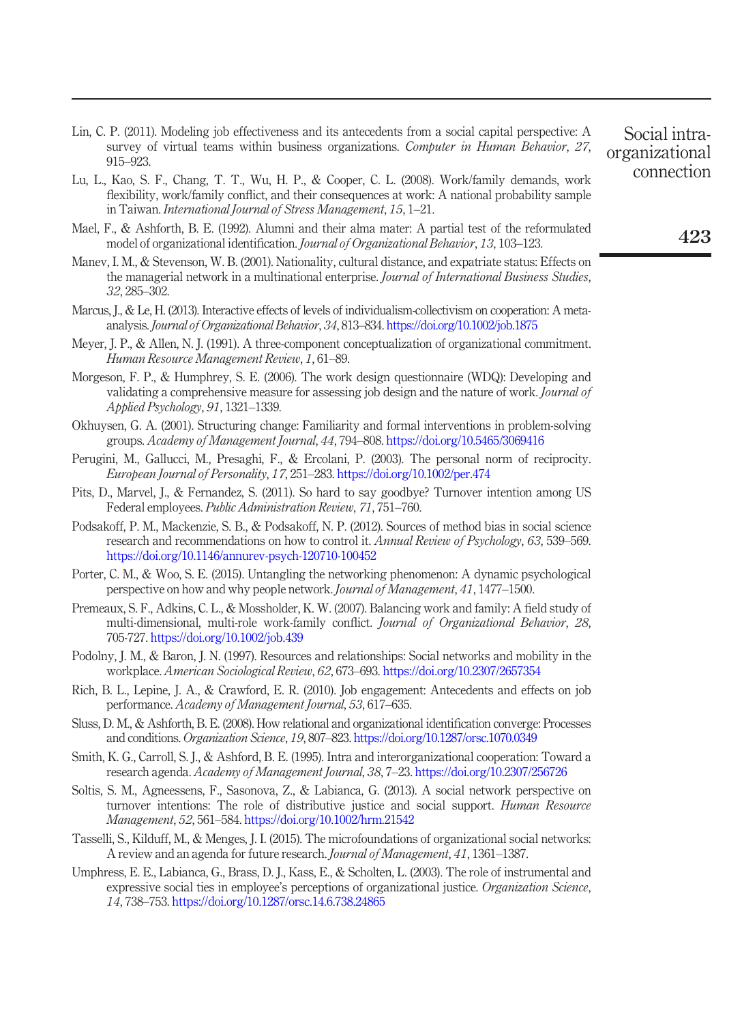- <span id="page-14-16"></span>Lin, C. P. (2011). Modeling job effectiveness and its antecedents from a social capital perspective: A survey of virtual teams within business organizations. Computer in Human Behavior, 27, 915–923.
- <span id="page-14-10"></span>Lu, L., Kao, S. F., Chang, T. T., Wu, H. P., & Cooper, C. L. (2008). Work/family demands, work flexibility, work/family conflict, and their consequences at work: A national probability sample in Taiwan. International Journal of Stress Management, 15, 1–21.
- <span id="page-14-17"></span>Mael, F., & Ashforth, B. E. (1992). Alumni and their alma mater: A partial test of the reformulated model of organizational identification. Journal of Organizational Behavior, 13, 103–123.
- <span id="page-14-15"></span>Manev, I. M., & Stevenson, W. B. (2001). Nationality, cultural distance, and expatriate status: Effects on the managerial network in a multinational enterprise. Journal of International Business Studies, 32, 285–302.
- <span id="page-14-8"></span>Marcus, J., & Le, H. (2013). Interactive effects of levels of individualism-collectivism on cooperation: A metaanalysis. Journal of Organizational Behavior, 34, 813–834. [https://doi.org/10.1002/job.1875](http://dx.doi.org/10.1002/job.1875)
- <span id="page-14-18"></span>Meyer, J. P., & Allen, N. J. (1991). A three-component conceptualization of organizational commitment. Human Resource Management Review, 1, 61–89.
- <span id="page-14-12"></span>Morgeson, F. P., & Humphrey, S. E. (2006). The work design questionnaire (WDQ): Developing and validating a comprehensive measure for assessing job design and the nature of work. Journal of Applied Psychology, 91, 1321–1339.
- <span id="page-14-1"></span>Okhuysen, G. A. (2001). Structuring change: Familiarity and formal interventions in problem-solving groups. Academy of Management Journal, 44, 794–808. [https://doi.org/10.5465/3069416](http://dx.doi.org/10.5465/3069416)
- <span id="page-14-11"></span>Perugini, M., Gallucci, M., Presaghi, F., & Ercolani, P. (2003). The personal norm of reciprocity. European Journal of Personality, 17, 251–283. [https://doi.org/10.1002/per.474](http://dx.doi.org/10.1002/per.474)
- <span id="page-14-13"></span>Pits, D., Marvel, J., & Fernandez, S. (2011). So hard to say goodbye? Turnover intention among US Federal employees. Public Administration Review, 71, 751–760.
- <span id="page-14-14"></span>Podsakoff, P. M., Mackenzie, S. B., & Podsakoff, N. P. (2012). Sources of method bias in social science research and recommendations on how to control it. Annual Review of Psychology, 63, 539–569. [https://doi.org/10.1146/annurev-psych-120710-100452](http://dx.doi.org/10.1146/annurev-psych-120710-100452)
- <span id="page-14-3"></span>Porter, C. M., & Woo, S. E. (2015). Untangling the networking phenomenon: A dynamic psychological perspective on how and why people network. Journal of Management, 41, 1477–1500.
- <span id="page-14-9"></span>Premeaux, S. F., Adkins, C. L., & Mossholder, K. W. (2007). Balancing work and family: A field study of multi-dimensional, multi-role work-family conflict. Journal of Organizational Behavior, 28, 705-727. [https://doi.org/10.1002/job.439](http://dx.doi.org/10.1002/job.439)
- <span id="page-14-0"></span>Podolny, J. M., & Baron, J. N. (1997). Resources and relationships: Social networks and mobility in the workplace. American Sociological Review, 62, 673–693. [https://doi.org/10.2307/2657354](http://dx.doi.org/10.2307/2657354)
- <span id="page-14-19"></span>Rich, B. L., Lepine, J. A., & Crawford, E. R. (2010). Job engagement: Antecedents and effects on job performance. Academy of Management Journal, 53, 617–635.
- <span id="page-14-4"></span>Sluss, D. M., & Ashforth, B. E. (2008). How relational and organizational identification converge: Processes and conditions. Organization Science, 19, 807–823. [https://doi.org/10.1287/orsc.1070.0349](http://dx.doi.org/10.1287/orsc.1070.0349)
- <span id="page-14-7"></span>Smith, K. G., Carroll, S. J., & Ashford, B. E. (1995). Intra and interorganizational cooperation: Toward a research agenda. Academy of Management Journal, 38, 7–23. [https://doi.org/10.2307/256726](http://dx.doi.org/10.2307/256726)
- <span id="page-14-6"></span>Soltis, S. M., Agneessens, F., Sasonova, Z., & Labianca, G. (2013). A social network perspective on turnover intentions: The role of distributive justice and social support. Human Resource Management, 52, 561–584. [https://doi.org/10.1002/hrm.21542](http://dx.doi.org/10.1002/hrm.21542)
- <span id="page-14-2"></span>Tasselli, S., Kilduff, M., & Menges, J. I. (2015). The microfoundations of organizational social networks: A review and an agenda for future research. Journal of Management, 41, 1361–1387.
- <span id="page-14-5"></span>Umphress, E. E., Labianca, G., Brass, D. J., Kass, E., & Scholten, L. (2003). The role of instrumental and expressive social ties in employee's perceptions of organizational justice. Organization Science, 14, 738–753. [https://doi.org/10.1287/orsc.14.6.738.24865](http://dx.doi.org/10.1287/orsc.14.6.738.24865)

Social intraorganizational connection